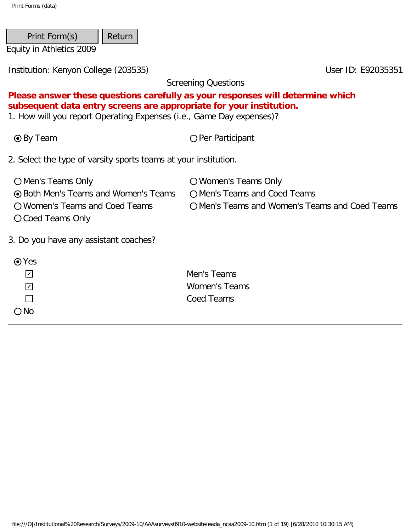| Print Form(s)            | $\vert\vert$ Return $\vert\vert$ |  |
|--------------------------|----------------------------------|--|
| Equity in Athletics 2009 |                                  |  |

Screening Questions

# **Please answer these questions carefully as your responses will determine which subsequent data entry screens are appropriate for your institution.**

1. How will you report Operating Expenses (i.e., Game Day expenses)?

● By Team Per Participant

2. Select the type of varsity sports teams at your institution.

| O Men's Teams Only                          | O Women's Teams Only                           |
|---------------------------------------------|------------------------------------------------|
| <b>⊙</b> Both Men's Teams and Women's Teams | O Men's Teams and Coed Teams                   |
| O Women's Teams and Coed Teams              | O Men's Teams and Women's Teams and Coed Teams |
| O Coed Teams Only                           |                                                |
|                                             |                                                |

3. Do you have any assistant coaches?

| $\odot$ Yes                 |                      |
|-----------------------------|----------------------|
| $\vert\bm{\mathsf{v}}\vert$ | Men's Teams          |
| $ \mathcal{V} $             | <b>Women's Teams</b> |
| $\mathbf{I}$                | Coed Teams           |
| $\bigcirc$ No               |                      |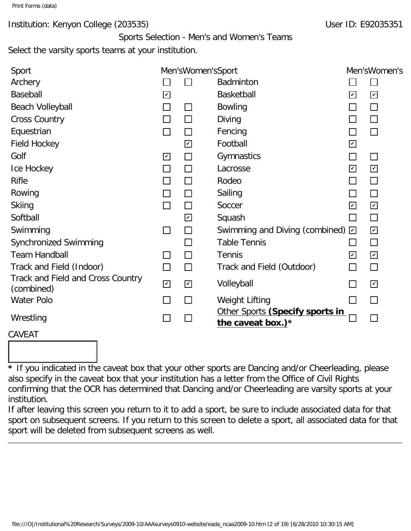# Institution: Kenyon College (203535) Notifiably 10 and 2008 10: E92035351

Sports Selection - Men's and Women's Teams Select the varsity sports teams at your institution.

| Sport                                           |                             | Men'sWomen'sSport           |                                                         |                      | Men'sWomen's            |
|-------------------------------------------------|-----------------------------|-----------------------------|---------------------------------------------------------|----------------------|-------------------------|
| Archery                                         |                             |                             | <b>Badminton</b>                                        |                      |                         |
| Baseball                                        | $\overline{\mathbf{K}}$     |                             | Basketball                                              | $\blacktriangledown$ | $\overline{\mathbf{v}}$ |
| <b>Beach Volleyball</b>                         | $\Box$                      | $\mathcal{L}_{\mathcal{A}}$ | <b>Bowling</b>                                          |                      | П                       |
| <b>Cross Country</b>                            | $\mathcal{L}_{\mathcal{A}}$ |                             | Diving                                                  |                      | П                       |
| Equestrian                                      | $\Box$                      |                             | Fencing                                                 |                      | П                       |
| <b>Field Hockey</b>                             |                             | ☑                           | Football                                                | $\blacktriangledown$ |                         |
| Golf                                            | $\sqrt{2}$                  | $\Box$                      | Gymnastics                                              |                      | $\Box$                  |
| Ice Hockey                                      | $\Box$                      | $\mathcal{L}_{\mathcal{A}}$ | Lacrosse                                                | $\blacktriangledown$ | $\overline{\mathbf{K}}$ |
| <b>Rifle</b>                                    | П                           | l I                         | Rodeo                                                   |                      | $\Box$                  |
| Rowing                                          | $\Box$                      | $\mathsf{L}$                | Sailing                                                 |                      | П                       |
| <b>Skiing</b>                                   | $\Box$                      | $\Box$                      | Soccer                                                  | $\blacktriangledown$ | $\overline{\mathbb{K}}$ |
| Softball                                        |                             | $\overline{\mathbf{v}}$     | Squash                                                  | <b>College</b>       | $\Box$                  |
| Swimming                                        | $\Box$                      | П                           | Swimming and Diving (combined) $\boxdot$                |                      | ☑                       |
| Synchronized Swimming                           |                             | $\mathcal{L}$               | <b>Table Tennis</b>                                     |                      | П                       |
| <b>Team Handball</b>                            | ⊔                           | $\Box$                      | <b>Tennis</b>                                           | $\blacktriangledown$ | ☑                       |
| Track and Field (Indoor)                        | $\Box$                      | $\Box$                      | Track and Field (Outdoor)                               | $\sim$               | $\Box$                  |
| Track and Field and Cross Country<br>(combined) | $\blacktriangleright$       | $\overline{\mathbf{v}}$     | Volleyball                                              |                      | $\overline{\mathbf{v}}$ |
| Water Polo                                      | $\Box$                      | $\mathcal{L}_{\mathcal{A}}$ | Weight Lifting                                          |                      | П                       |
| Wrestling                                       |                             |                             | Other Sports (Specify sports in<br>the caveat box.) $*$ |                      |                         |

# CAVEAT

**\*** If you indicated in the caveat box that your other sports are Dancing and/or Cheerleading, please also specify in the caveat box that your institution has a letter from the Office of Civil Rights confirming that the OCR has determined that Dancing and/or Cheerleading are varsity sports at your institution.

If after leaving this screen you return to it to add a sport, be sure to include associated data for that sport on subsequent screens. If you return to this screen to delete a sport, all associated data for that sport will be deleted from subsequent screens as well.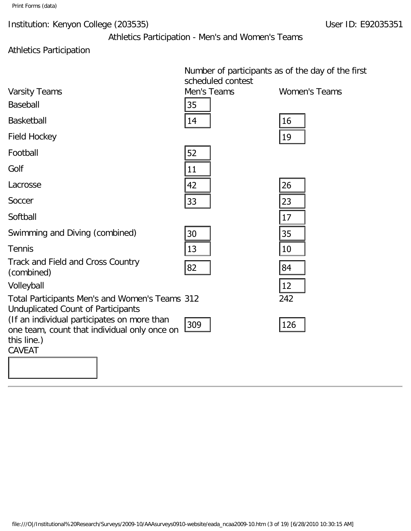Athletics Participation - Men's and Women's Teams

# Athletics Participation

|                                                                                                            | Number of participants as of the day of the first |                      |
|------------------------------------------------------------------------------------------------------------|---------------------------------------------------|----------------------|
|                                                                                                            | scheduled contest                                 |                      |
| <b>Varsity Teams</b>                                                                                       | Men's Teams                                       | <b>Women's Teams</b> |
| <b>Baseball</b>                                                                                            | 35                                                |                      |
| <b>Basketball</b>                                                                                          | 14                                                | 16                   |
| <b>Field Hockey</b>                                                                                        |                                                   | 19                   |
| Football                                                                                                   | 52                                                |                      |
| Golf                                                                                                       | 11                                                |                      |
| Lacrosse                                                                                                   | 42                                                | 26                   |
| Soccer                                                                                                     | 33                                                | 23                   |
| Softball                                                                                                   |                                                   | 17                   |
| Swimming and Diving (combined)                                                                             | 30                                                | 35                   |
| <b>Tennis</b>                                                                                              | 13                                                | 10                   |
| Track and Field and Cross Country<br>(combined)                                                            | 82                                                | 84                   |
| Volleyball                                                                                                 |                                                   | 12                   |
| Total Participants Men's and Women's Teams 312<br><b>Unduplicated Count of Participants</b>                |                                                   | 242                  |
| (If an individual participates on more than<br>one team, count that individual only once on<br>this line.) | 309                                               | 126                  |
| <b>CAVEAT</b>                                                                                              |                                                   |                      |
|                                                                                                            |                                                   |                      |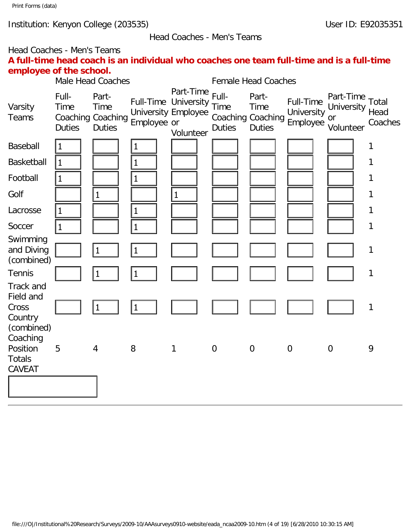Head Coaches - Men's Teams

# Head Coaches - Men's Teams **A full-time head coach is an individual who coaches one team full-time and is a full-time employee of the school.**

|                                                          |                                       | Male Head Coaches                                   |              |                                                                              |                                | <b>Female Head Coaches</b>                                 |                                     |                                                  |                 |
|----------------------------------------------------------|---------------------------------------|-----------------------------------------------------|--------------|------------------------------------------------------------------------------|--------------------------------|------------------------------------------------------------|-------------------------------------|--------------------------------------------------|-----------------|
| Varsity<br><b>Teams</b>                                  | Full-<br><b>Time</b><br><b>Duties</b> | Part-<br>Time<br>Coaching Coaching<br><b>Duties</b> | Employee or  | Part-Time<br>Full-Time University<br><b>University Employee</b><br>Volunteer | Full-<br>Time<br><b>Duties</b> | Part-<br><b>Time</b><br>Coaching Coaching<br><b>Duties</b> | Full-Time<br>University<br>Employee | Part-Time Total<br>University<br>or<br>Volunteer | Head<br>Coaches |
| Baseball                                                 | $\mathbf{1}$                          |                                                     | 1            |                                                                              |                                |                                                            |                                     |                                                  | 1               |
| <b>Basketball</b>                                        | $\vert$ 1                             |                                                     | $\mathbf{1}$ |                                                                              |                                |                                                            |                                     |                                                  | 1               |
| Football                                                 | $\mathbf{1}$                          |                                                     | $\mathbf{1}$ |                                                                              |                                |                                                            |                                     |                                                  | $\mathbf{1}$    |
| Golf                                                     |                                       | $\mathbf{1}$                                        |              | $\mathbf{1}$                                                                 |                                |                                                            |                                     |                                                  | 1               |
| Lacrosse                                                 | $\vert$ 1                             |                                                     | $\mathbf{1}$ |                                                                              |                                |                                                            |                                     |                                                  | $\mathbf{1}$    |
| Soccer                                                   | $\overline{1}$                        |                                                     | $\mathbf{1}$ |                                                                              |                                |                                                            |                                     |                                                  | 1               |
| Swimming<br>and Diving<br>(combined)                     |                                       | 1                                                   | $\mathbf{1}$ |                                                                              |                                |                                                            |                                     |                                                  | $\mathbf 1$     |
| <b>Tennis</b>                                            |                                       | 1                                                   | 1            |                                                                              |                                |                                                            |                                     |                                                  | $\mathbf 1$     |
| Track and<br>Field and<br>Cross<br>Country<br>(combined) |                                       | 1                                                   | $\mathbf{1}$ |                                                                              |                                |                                                            |                                     |                                                  | 1               |
| Coaching<br>Position<br><b>Totals</b><br><b>CAVEAT</b>   | 5                                     | $\overline{4}$                                      | 8            | 1                                                                            | $\overline{0}$                 | $\overline{0}$                                             | $\overline{0}$                      | $\overline{0}$                                   | 9               |
|                                                          |                                       |                                                     |              |                                                                              |                                |                                                            |                                     |                                                  |                 |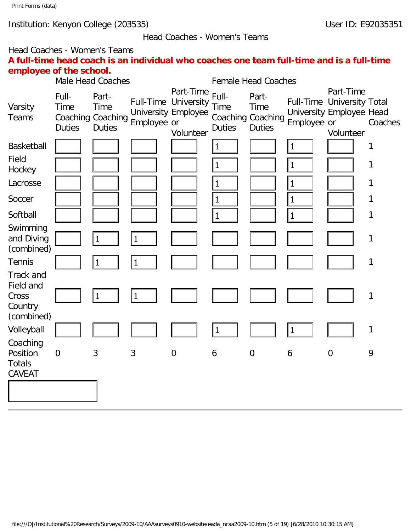#### Head Coaches - Women's Teams

# Head Coaches - Women's Teams **A full-time head coach is an individual who coaches one team full-time and is a full-time employee of the school.**

|                                                                 |                                       | Male Head Coaches                                                 |              |                                                                              |                                       | <b>Female Head Coaches</b>                                 |              |                                                                                  |              |
|-----------------------------------------------------------------|---------------------------------------|-------------------------------------------------------------------|--------------|------------------------------------------------------------------------------|---------------------------------------|------------------------------------------------------------|--------------|----------------------------------------------------------------------------------|--------------|
| Varsity<br>Teams                                                | Full-<br><b>Time</b><br><b>Duties</b> | Part-<br><b>Time</b><br><b>Coaching Coaching</b><br><b>Duties</b> | Employee or  | Part-Time<br>Full-Time University<br><b>University Employee</b><br>Volunteer | Full-<br><b>Time</b><br><b>Duties</b> | Part-<br><b>Time</b><br>Coaching Coaching<br><b>Duties</b> | Employee or  | Part-Time<br>Full-Time University Total<br>University Employee Head<br>Volunteer | Coaches      |
| <b>Basketball</b>                                               |                                       |                                                                   |              |                                                                              | $\mathbf 1$                           |                                                            | $\vert$ 1    |                                                                                  | 1            |
| Field<br>Hockey                                                 |                                       |                                                                   |              |                                                                              | $\mathbf{1}$                          |                                                            | $\mathbf{1}$ |                                                                                  | 1            |
| Lacrosse                                                        |                                       |                                                                   |              |                                                                              | $\mathbf{1}$                          |                                                            | $\mathbf{1}$ |                                                                                  | 1            |
| Soccer                                                          |                                       |                                                                   |              |                                                                              | $\mathbf 1$                           |                                                            | $\mathbf{1}$ |                                                                                  | $\mathbf{1}$ |
| Softball                                                        |                                       |                                                                   |              |                                                                              | $\mathbf{1}$                          |                                                            | $\vert$ 1    |                                                                                  | $\mathbf{1}$ |
| Swimming<br>and Diving<br>(combined)                            |                                       | 1                                                                 | $\mathbf{1}$ |                                                                              |                                       |                                                            |              |                                                                                  | 1            |
| <b>Tennis</b>                                                   |                                       | 1                                                                 | $\mathbf{1}$ |                                                                              |                                       |                                                            |              |                                                                                  | 1            |
| <b>Track and</b><br>Field and<br>Cross<br>Country<br>(combined) |                                       | $\mathbf 1$                                                       | 1            |                                                                              |                                       |                                                            |              |                                                                                  | $\mathbf{1}$ |
| Volleyball                                                      |                                       |                                                                   |              |                                                                              | $\mathbf 1$                           |                                                            | $\mathbf{1}$ |                                                                                  | $\mathbf{1}$ |
| Coaching<br>Position<br><b>Totals</b>                           | $\overline{0}$                        | 3                                                                 | 3            | $\mathbf 0$                                                                  | 6                                     | $\boldsymbol{0}$                                           | 6            | $\mathbf 0$                                                                      | 9            |
| <b>CAVEAT</b>                                                   |                                       |                                                                   |              |                                                                              |                                       |                                                            |              |                                                                                  |              |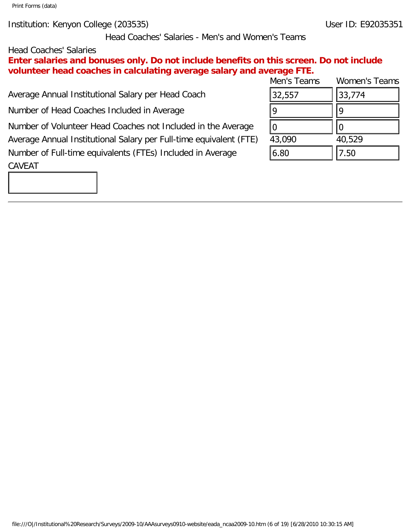Institution: Kenyon College (203535) User ID: E92035351

Head Coaches' Salaries - Men's and Women's Teams

### Head Coaches' Salaries

**Enter salaries and bonuses only. Do not include benefits on this screen. Do not include volunteer head coaches in calculating average salary and average FTE.**

Average Annual Institutional Salary per Head Coach

Number of Head Coaches Included in Average

Number of Volunteer Head Coaches not Included in the Average Average Annual Institutional Salary per Full-time equivalent (FTE) Number of Full-time equivalents (FTEs) Included in Average CAVEAT

| Men's Teams | <b>Women's Teams</b> |
|-------------|----------------------|
| 32,557      | 33,774               |
| q           |                      |
|             |                      |
| 43,090      | 40,529               |
| 6.80        | 7.50                 |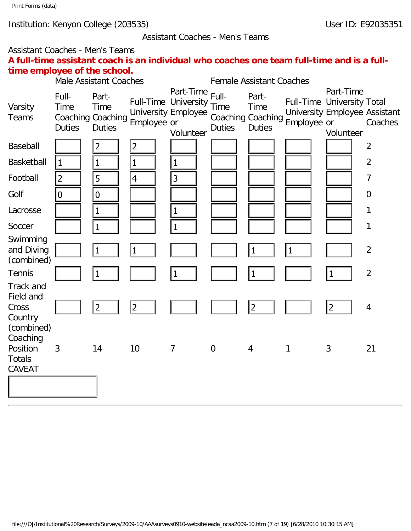#### Assistant Coaches - Men's Teams

# Assistant Coaches - Men's Teams **A full-time assistant coach is an individual who coaches one team full-time and is a fulltime employee of the school.**

|                                                                             |                                | Male Assistant Coaches                              |                |                                                                                     |                                | <b>Female Assistant Coaches</b>                            |             |                                                                                       |                |
|-----------------------------------------------------------------------------|--------------------------------|-----------------------------------------------------|----------------|-------------------------------------------------------------------------------------|--------------------------------|------------------------------------------------------------|-------------|---------------------------------------------------------------------------------------|----------------|
| Varsity<br>Teams                                                            | Full-<br>Time<br><b>Duties</b> | Part-<br>Time<br>Coaching Coaching<br><b>Duties</b> | Employee or    | Part-Time<br><b>Full-Time University</b><br><b>University Employee</b><br>Volunteer | Full-<br>Time<br><b>Duties</b> | Part-<br><b>Time</b><br>Coaching Coaching<br><b>Duties</b> | Employee or | Part-Time<br>Full-Time University Total<br>University Employee Assistant<br>Volunteer | Coaches        |
| Baseball                                                                    |                                | $\overline{2}$                                      | $\overline{2}$ |                                                                                     |                                |                                                            |             |                                                                                       | $\overline{2}$ |
| Basketball                                                                  | $\vert$ 1                      | $\mathbf 1$                                         | $\mathbf 1$    | $\mathbf{1}$                                                                        |                                |                                                            |             |                                                                                       | $\overline{2}$ |
| Football                                                                    | $\overline{2}$                 | 5                                                   | $\overline{4}$ | $\overline{3}$                                                                      |                                |                                                            |             |                                                                                       | $\overline{7}$ |
| Golf                                                                        | $\overline{0}$                 | $\pmb{0}$                                           |                |                                                                                     |                                |                                                            |             |                                                                                       | $\mathbf 0$    |
| Lacrosse                                                                    |                                | $\mathbf{1}$                                        |                | $\vert$ 1                                                                           |                                |                                                            |             |                                                                                       | $\mathbf 1$    |
| Soccer                                                                      |                                | $\mathbf{1}$                                        |                | $\overline{1}$                                                                      |                                |                                                            |             |                                                                                       | 1              |
| Swimming<br>and Diving<br>(combined)                                        |                                |                                                     |                |                                                                                     |                                |                                                            |             |                                                                                       | $\overline{2}$ |
| Tennis                                                                      |                                | 1                                                   |                | $\vert$ 1                                                                           |                                | $\vert$ 1                                                  |             | 1                                                                                     | $\overline{2}$ |
| <b>Track and</b><br>Field and<br>Cross<br>Country<br>(combined)<br>Coaching |                                | $\overline{2}$                                      | $\overline{2}$ |                                                                                     |                                | $\overline{2}$                                             |             | $ 2\rangle$                                                                           | $\overline{4}$ |
| Position<br><b>Totals</b><br>CAVEAT                                         | 3                              | 14                                                  | 10             | $\overline{7}$                                                                      | $\overline{0}$                 | 4                                                          | 1           | $\mathbf{3}$                                                                          | 21             |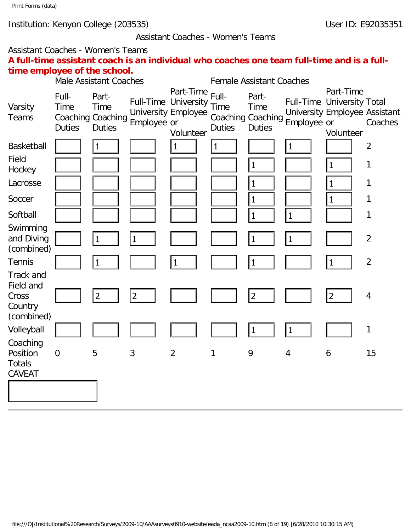#### Assistant Coaches - Women's Teams

# Assistant Coaches - Women's Teams **A full-time assistant coach is an individual who coaches one team full-time and is a fulltime employee of the school.**

| three chipserve of the school.                                  |                                       | <b>Male Assistant Coaches</b>                       |                |                                                                              |                                       | <b>Female Assistant Coaches</b>                            |                |                                                                                       |                |
|-----------------------------------------------------------------|---------------------------------------|-----------------------------------------------------|----------------|------------------------------------------------------------------------------|---------------------------------------|------------------------------------------------------------|----------------|---------------------------------------------------------------------------------------|----------------|
| Varsity<br>Teams                                                | Full-<br><b>Time</b><br><b>Duties</b> | Part-<br>Time<br>Coaching Coaching<br><b>Duties</b> | Employee or    | Part-Time<br>Full-Time University<br><b>University Employee</b><br>Volunteer | Full-<br><b>Time</b><br><b>Duties</b> | Part-<br><b>Time</b><br>Coaching Coaching<br><b>Duties</b> | Employee or    | Part-Time<br>Full-Time University Total<br>University Employee Assistant<br>Volunteer | Coaches        |
| <b>Basketball</b>                                               |                                       | 1                                                   |                | $\mathbf{1}$                                                                 | $\mathbf 1$                           |                                                            | $\mathbf{1}$   |                                                                                       | $\overline{2}$ |
| Field<br>Hockey                                                 |                                       |                                                     |                |                                                                              |                                       | $\mathbf{1}$                                               |                | $\mathbf{1}$                                                                          | 1              |
| Lacrosse                                                        |                                       |                                                     |                |                                                                              |                                       | $\mathbf{1}$                                               |                | $\mathbf{1}$                                                                          | 1              |
| Soccer                                                          |                                       |                                                     |                |                                                                              |                                       | $\vert$ 1                                                  |                | $\mathbf{1}$                                                                          | 1              |
| Softball                                                        |                                       |                                                     |                |                                                                              |                                       | $\vert$ 1                                                  | $\vert$ 1      |                                                                                       | $\mathbf{1}$   |
| Swimming<br>and Diving<br>(combined)                            |                                       | $\mathbf 1$                                         | $\mathbf 1$    |                                                                              |                                       | 1                                                          | $\vert$ 1      |                                                                                       | $\overline{2}$ |
| <b>Tennis</b>                                                   |                                       | 1                                                   |                | 1                                                                            |                                       | 1                                                          |                | $\vert$ 1                                                                             | $\overline{2}$ |
| <b>Track and</b><br>Field and<br>Cross<br>Country<br>(combined) |                                       | 2                                                   | $\overline{2}$ |                                                                              |                                       | 2                                                          |                | $ 2\rangle$                                                                           | $\overline{4}$ |
| Volleyball                                                      |                                       |                                                     |                |                                                                              |                                       | $\overline{1}$                                             | 1              |                                                                                       | $\mathbf{1}$   |
| Coaching<br>Position<br><b>Totals</b><br>CAVEAT                 | $\overline{0}$                        | 5                                                   | 3              | $\overline{2}$                                                               | 1                                     | 9                                                          | $\overline{4}$ | 6                                                                                     | 15             |
|                                                                 |                                       |                                                     |                |                                                                              |                                       |                                                            |                |                                                                                       |                |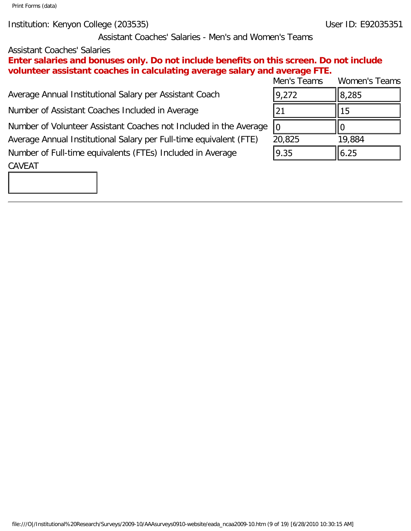Institution: Kenyon College (203535) User ID: E92035351

Assistant Coaches' Salaries - Men's and Women's Teams

# Assistant Coaches' Salaries

**Enter salaries and bonuses only. Do not include benefits on this screen. Do not include volunteer assistant coaches in calculating average salary and average FTE.**

Average Annual Institutional Salary per Assistant Coach

Number of Assistant Coaches Included in Average

Number of Volunteer Assistant Coaches not Included in the Average Average Annual Institutional Salary per Full-time equivalent (FTE) 20,825 19,884 Number of Full-time equivalents (FTEs) Included in Average

Men's Teams Women's Teams  $9,272$   $||8,285$  $\begin{array}{ccc} \n\boxed{21} & \quad & \quad \boxed{15}\n\end{array}$ 0 || || || 0  $\vert 9.35 \vert \vert 6.25$ 

### CAVEAT

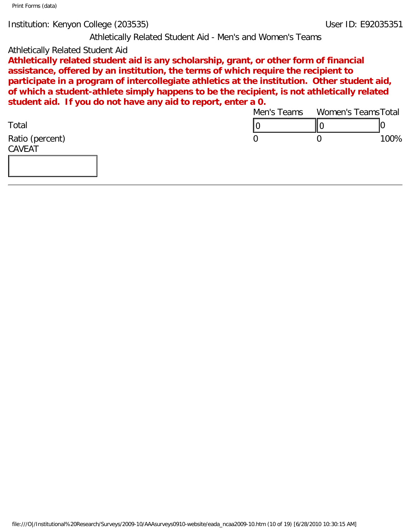Institution: Kenyon College (203535) User ID: E92035351

Athletically Related Student Aid - Men's and Women's Teams

### Athletically Related Student Aid

**Athletically related student aid is any scholarship, grant, or other form of financial assistance, offered by an institution, the terms of which require the recipient to participate in a program of intercollegiate athletics at the institution. Other student aid, of which a student-athlete simply happens to be the recipient, is not athletically related student aid. If you do not have any aid to report, enter a 0.**

|                                                                                                                                    | Men's Teams    |                  | Women's Teams Total |
|------------------------------------------------------------------------------------------------------------------------------------|----------------|------------------|---------------------|
| Total                                                                                                                              | 0              | ∥0               | 10                  |
| Ratio (percent)                                                                                                                    | $\overline{0}$ | $\boldsymbol{0}$ | 100%                |
| CAVEAT                                                                                                                             |                |                  |                     |
|                                                                                                                                    |                |                  |                     |
|                                                                                                                                    |                |                  |                     |
|                                                                                                                                    |                |                  |                     |
|                                                                                                                                    |                |                  |                     |
|                                                                                                                                    |                |                  |                     |
|                                                                                                                                    |                |                  |                     |
|                                                                                                                                    |                |                  |                     |
|                                                                                                                                    |                |                  |                     |
|                                                                                                                                    |                |                  |                     |
|                                                                                                                                    |                |                  |                     |
|                                                                                                                                    |                |                  |                     |
|                                                                                                                                    |                |                  |                     |
|                                                                                                                                    |                |                  |                     |
|                                                                                                                                    |                |                  |                     |
|                                                                                                                                    |                |                  |                     |
|                                                                                                                                    |                |                  |                     |
|                                                                                                                                    |                |                  |                     |
|                                                                                                                                    |                |                  |                     |
|                                                                                                                                    |                |                  |                     |
|                                                                                                                                    |                |                  |                     |
|                                                                                                                                    |                |                  |                     |
|                                                                                                                                    |                |                  |                     |
|                                                                                                                                    |                |                  |                     |
|                                                                                                                                    |                |                  |                     |
|                                                                                                                                    |                |                  |                     |
|                                                                                                                                    |                |                  |                     |
|                                                                                                                                    |                |                  |                     |
|                                                                                                                                    |                |                  |                     |
|                                                                                                                                    |                |                  |                     |
|                                                                                                                                    |                |                  |                     |
|                                                                                                                                    |                |                  |                     |
| file:///O /Institutional%20Research/Surveys/2009-10/AAAsurveys0910-website/eada_ncaa2009-10.htm (10 of 19) [6/28/2010 10:30:15 AM] |                |                  |                     |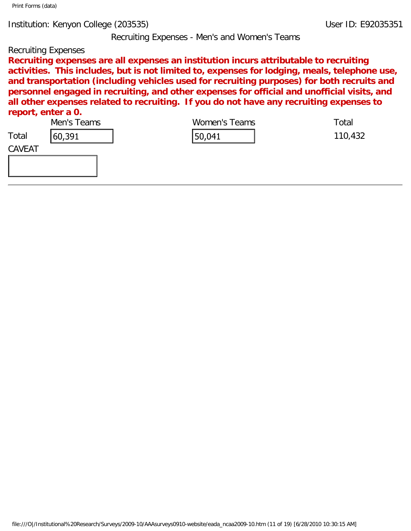Recruiting Expenses - Men's and Women's Teams

### Recruiting Expenses

**Recruiting expenses are all expenses an institution incurs attributable to recruiting activities. This includes, but is not limited to, expenses for lodging, meals, telephone use, and transportation (including vehicles used for recruiting purposes) for both recruits and personnel engaged in recruiting, and other expenses for official and unofficial visits, and all other expenses related to recruiting. If you do not have any recruiting expenses to report, enter a 0.**

|        | Men's Teams | Women's Teams                                                                                                                      | Total   |
|--------|-------------|------------------------------------------------------------------------------------------------------------------------------------|---------|
| Total  | 60,391      | 50,041                                                                                                                             | 110,432 |
| CAVEAT |             |                                                                                                                                    |         |
|        |             |                                                                                                                                    |         |
|        |             |                                                                                                                                    |         |
|        |             |                                                                                                                                    |         |
|        |             |                                                                                                                                    |         |
|        |             |                                                                                                                                    |         |
|        |             |                                                                                                                                    |         |
|        |             |                                                                                                                                    |         |
|        |             |                                                                                                                                    |         |
|        |             |                                                                                                                                    |         |
|        |             |                                                                                                                                    |         |
|        |             |                                                                                                                                    |         |
|        |             |                                                                                                                                    |         |
|        |             |                                                                                                                                    |         |
|        |             |                                                                                                                                    |         |
|        |             |                                                                                                                                    |         |
|        |             |                                                                                                                                    |         |
|        |             |                                                                                                                                    |         |
|        |             |                                                                                                                                    |         |
|        |             |                                                                                                                                    |         |
|        |             |                                                                                                                                    |         |
|        |             |                                                                                                                                    |         |
|        |             |                                                                                                                                    |         |
|        |             |                                                                                                                                    |         |
|        |             |                                                                                                                                    |         |
|        |             |                                                                                                                                    |         |
|        |             |                                                                                                                                    |         |
|        |             |                                                                                                                                    |         |
|        |             | file:///O /Institutional%20Research/Surveys/2009-10/AAAsurveys0910-website/eada_ncaa2009-10.htm (11 of 19) [6/28/2010 10:30:15 AM] |         |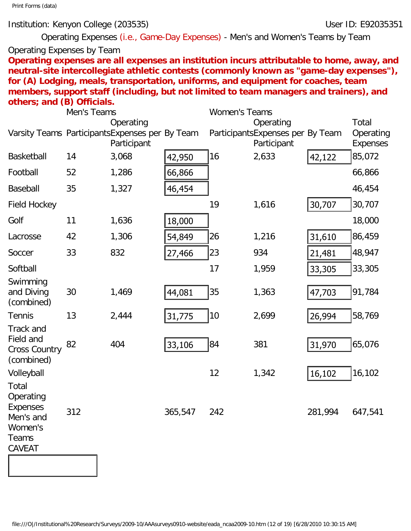### Institution: Kenyon College (203535) Notifiably the User ID: E92035351

Operating Expenses (i.e., Game-Day Expenses) - Men's and Women's Teams by Team

# Operating Expenses by Team

**Operating expenses are all expenses an institution incurs attributable to home, away, and neutral-site intercollegiate athletic contests (commonly known as "game-day expenses"), for (A) Lodging, meals, transportation, uniforms, and equipment for coaches, team members, support staff (including, but not limited to team managers and trainers), and others; and (B) Officials.** 

|                                                                                  | Men's Teams |             |         | <b>Women's Teams</b> |                                                                                                                                    |         |                              |
|----------------------------------------------------------------------------------|-------------|-------------|---------|----------------------|------------------------------------------------------------------------------------------------------------------------------------|---------|------------------------------|
|                                                                                  |             | Operating   |         |                      | Operating                                                                                                                          |         | Total                        |
| Varsity Teams Participants Expenses per By Team                                  |             | Participant |         |                      | ParticipantsExpenses per By Team<br>Participant                                                                                    |         | Operating<br><b>Expenses</b> |
| Basketball                                                                       | 14          | 3,068       | 42,950  | 16                   | 2,633                                                                                                                              | 42,122  | 85,072                       |
| Football                                                                         | 52          | 1,286       | 66,866  |                      |                                                                                                                                    |         | 66,866                       |
| Baseball                                                                         | 35          | 1,327       | 46,454  |                      |                                                                                                                                    |         | 46,454                       |
| <b>Field Hockey</b>                                                              |             |             |         | 19                   | 1,616                                                                                                                              | 30,707  | 30,707                       |
| Golf                                                                             | 11          | 1,636       | 18,000  |                      |                                                                                                                                    |         | 18,000                       |
| Lacrosse                                                                         | 42          | 1,306       | 54,849  | 26                   | 1,216                                                                                                                              | 31,610  | 86,459                       |
| Soccer                                                                           | 33          | 832         | 27,466  | 23                   | 934                                                                                                                                | 21,481  | 48,947                       |
| Softball                                                                         |             |             |         | 17                   | 1,959                                                                                                                              | 33,305  | 33,305                       |
| Swimming<br>and Diving<br>(combined)                                             | 30          | 1,469       | 44,081  | 35                   | 1,363                                                                                                                              | 47,703  | 91,784                       |
| Tennis                                                                           | 13          | 2,444       | 31,775  | 10                   | 2,699                                                                                                                              | 26,994  | 58,769                       |
| <b>Track and</b><br>Field and<br><b>Cross Country</b><br>(combined)              | 82          | 404         | 33,106  | 84                   | 381                                                                                                                                | 31,970  | 65,076                       |
| Volleyball                                                                       |             |             |         | 12                   | 1,342                                                                                                                              | 16,102  | 16,102                       |
| Total<br>Operating<br>Expenses<br>Men's and<br>Women's<br>Teams<br><b>CAVEAT</b> | 312         |             | 365,547 | 242                  |                                                                                                                                    | 281,994 | 647,541                      |
|                                                                                  |             |             |         |                      |                                                                                                                                    |         |                              |
|                                                                                  |             |             |         |                      |                                                                                                                                    |         |                              |
|                                                                                  |             |             |         |                      |                                                                                                                                    |         |                              |
|                                                                                  |             |             |         |                      |                                                                                                                                    |         |                              |
|                                                                                  |             |             |         |                      | file:///O /Institutional%20Research/Surveys/2009-10/AAAsurveys0910-website/eada_ncaa2009-10.htm (12 of 19) [6/28/2010 10:30:15 AM] |         |                              |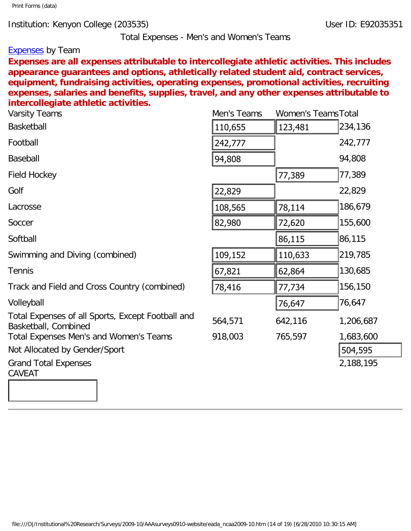Total Expenses - Men's and Women's Teams

#### **Expenses** by Team

**Expenses are all expenses attributable to intercollegiate athletic activities. This includes appearance guarantees and options, athletically related student aid, contract services, equipment, fundraising activities, operating expenses, promotional activities, recruiting expenses, salaries and benefits, supplies, travel, and any other expenses attributable to intercollegiate athletic activities.**

| <b>Varsity Teams</b>                                                                                                               | Men's Teams | <b>Women's Teams Total</b> |           |
|------------------------------------------------------------------------------------------------------------------------------------|-------------|----------------------------|-----------|
| Basketball                                                                                                                         | 110,655     | 123,481                    | 234,136   |
| Football                                                                                                                           | 242,777     |                            | 242,777   |
| Baseball                                                                                                                           | 94,808      |                            | 94,808    |
| <b>Field Hockey</b>                                                                                                                |             | 77,389                     | 77,389    |
| Golf                                                                                                                               | 22,829      |                            | 22,829    |
| Lacrosse                                                                                                                           | 108,565     | 78,114                     | 186,679   |
| Soccer                                                                                                                             | 82,980      | 72,620                     | 155,600   |
| Softball                                                                                                                           |             | 86, 115                    | 86,115    |
| Swimming and Diving (combined)                                                                                                     | 109,152     | 110,633                    | 219,785   |
| <b>Tennis</b>                                                                                                                      | 67,821      | 62,864                     | 130,685   |
| Track and Field and Cross Country (combined)                                                                                       | 78,416      | 77,734                     | 156,150   |
| Volleyball                                                                                                                         |             | 76,647                     | 76,647    |
| Total Expenses of all Sports, Except Football and<br>Basketball, Combined                                                          | 564,571     | 642,116                    | 1,206,687 |
| Total Expenses Men's and Women's Teams                                                                                             | 918,003     | 765,597                    | 1,683,600 |
| Not Allocated by Gender/Sport                                                                                                      |             |                            | 504,595   |
| <b>Grand Total Expenses</b><br><b>CAVEAT</b>                                                                                       |             |                            | 2,188,195 |
|                                                                                                                                    |             |                            |           |
|                                                                                                                                    |             |                            |           |
|                                                                                                                                    |             |                            |           |
|                                                                                                                                    |             |                            |           |
|                                                                                                                                    |             |                            |           |
|                                                                                                                                    |             |                            |           |
|                                                                                                                                    |             |                            |           |
|                                                                                                                                    |             |                            |           |
|                                                                                                                                    |             |                            |           |
| file:///O /Institutional%20Research/Surveys/2009-10/AAAsurveys0910-website/eada_ncaa2009-10.htm (14 of 19) [6/28/2010 10:30:15 AM] |             |                            |           |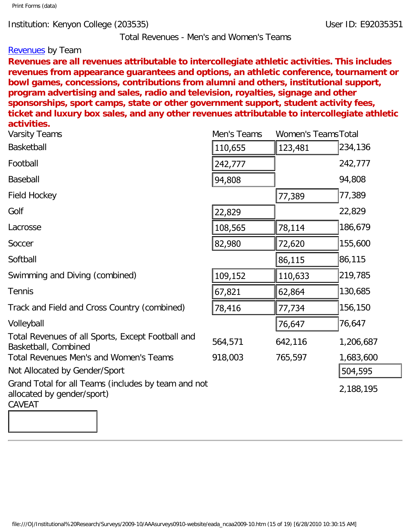Total Revenues - Men's and Women's Teams

### **Revenues** by Team

**Revenues are all revenues attributable to intercollegiate athletic activities. This includes revenues from appearance guarantees and options, an athletic conference, tournament or bowl games, concessions, contributions from alumni and others, institutional support, program advertising and sales, radio and television, royalties, signage and other sponsorships, sport camps, state or other government support, student activity fees, ticket and luxury box sales, and any other revenues attributable to intercollegiate athletic activities.** 

| <b>Varsity Teams</b>                                                                                                               | Men's Teams | <b>Women's Teams Total</b> |           |
|------------------------------------------------------------------------------------------------------------------------------------|-------------|----------------------------|-----------|
| Basketball                                                                                                                         | 110,655     | 123,481                    | 234,136   |
| Football                                                                                                                           | 242,777     |                            | 242,777   |
| Baseball                                                                                                                           | 94,808      |                            | 94,808    |
| <b>Field Hockey</b>                                                                                                                |             | 77,389                     | 77,389    |
| Golf                                                                                                                               | 22,829      |                            | 22,829    |
| Lacrosse                                                                                                                           | 108,565     | 78,114                     | 186,679   |
| Soccer                                                                                                                             | 82,980      | 72,620                     | 155,600   |
| Softball                                                                                                                           |             | 86,115                     | 86,115    |
| Swimming and Diving (combined)                                                                                                     | 109,152     | 110,633                    | 219,785   |
| <b>Tennis</b>                                                                                                                      | 67,821      | 62,864                     | 130,685   |
| Track and Field and Cross Country (combined)                                                                                       | 78,416      | 77,734                     | 156,150   |
| Volleyball                                                                                                                         |             | 76,647                     | 76,647    |
| Total Revenues of all Sports, Except Football and<br>Basketball, Combined                                                          | 564,571     | 642,116                    | 1,206,687 |
| Total Revenues Men's and Women's Teams                                                                                             | 918,003     | 765,597                    | 1,683,600 |
| Not Allocated by Gender/Sport                                                                                                      |             |                            | 504,595   |
| Grand Total for all Teams (includes by team and not<br>allocated by gender/sport)                                                  |             |                            | 2,188,195 |
| CAVEAT                                                                                                                             |             |                            |           |
|                                                                                                                                    |             |                            |           |
|                                                                                                                                    |             |                            |           |
|                                                                                                                                    |             |                            |           |
|                                                                                                                                    |             |                            |           |
| file:///O /Institutional%20Research/Surveys/2009-10/AAAsurveys0910-website/eada_ncaa2009-10.htm (15 of 19) [6/28/2010 10:30:15 AM] |             |                            |           |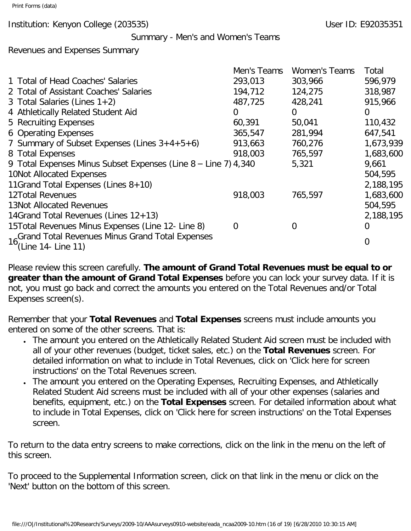Institution: Kenyon College (203535) Notifiably 10 and 2008 10: E92035351

#### Summary - Men's and Women's Teams

Revenues and Expenses Summary

|                                                                 | Men's Teams | <b>Women's Teams</b> | Total     |
|-----------------------------------------------------------------|-------------|----------------------|-----------|
| 1 Total of Head Coaches' Salaries                               | 293,013     | 303,966              | 596,979   |
| 2 Total of Assistant Coaches' Salaries                          | 194,712     | 124,275              | 318,987   |
| 3 Total Salaries (Lines $1+2$ )                                 | 487,725     | 428,241              | 915,966   |
| 4 Athletically Related Student Aid                              | 0           | $\Omega$             | $\Omega$  |
| 5 Recruiting Expenses                                           | 60,391      | 50,041               | 110,432   |
| 6 Operating Expenses                                            | 365,547     | 281,994              | 647,541   |
| 7 Summary of Subset Expenses (Lines $3+4+5+6$ )                 | 913,663     | 760,276              | 1,673,939 |
| 8 Total Expenses                                                | 918,003     | 765,597              | 1,683,600 |
| 9 Total Expenses Minus Subset Expenses (Line 8 - Line 7) 4,340  |             | 5,321                | 9,661     |
| 10Not Allocated Expenses                                        |             |                      | 504,595   |
| 11Grand Total Expenses (Lines 8+10)                             |             |                      | 2,188,195 |
| <b>12Total Revenues</b>                                         | 918,003     | 765,597              | 1,683,600 |
| <b>13Not Allocated Revenues</b>                                 |             |                      | 504,595   |
| 14Grand Total Revenues (Lines $12+13$ )                         |             |                      | 2,188,195 |
| 15Total Revenues Minus Expenses (Line 12- Line 8)               | $\Omega$    | O                    | 0         |
| 16 <sub>2</sub> Grand Total Revenues Minus Grand Total Expenses |             |                      | 0         |
| (Line 14- Line 11)                                              |             |                      |           |

Please review this screen carefully. **The amount of Grand Total Revenues must be equal to or greater than the amount of Grand Total Expenses** before you can lock your survey data. If it is not, you must go back and correct the amounts you entered on the Total Revenues and/or Total Expenses screen(s).

Remember that your **Total Revenues** and **Total Expenses** screens must include amounts you entered on some of the other screens. That is:

- The amount you entered on the Athletically Related Student Aid screen must be included with all of your other revenues (budget, ticket sales, etc.) on the **Total Revenues** screen. For detailed information on what to include in Total Revenues, click on 'Click here for screen instructions' on the Total Revenues screen.
- The amount you entered on the Operating Expenses, Recruiting Expenses, and Athletically Related Student Aid screens must be included with all of your other expenses (salaries and benefits, equipment, etc.) on the **Total Expenses** screen. For detailed information about what to include in Total Expenses, click on 'Click here for screen instructions' on the Total Expenses screen.

To return to the data entry screens to make corrections, click on the link in the menu on the left of this screen.

To proceed to the Supplemental Information screen, click on that link in the menu or click on the 'Next' button on the bottom of this screen.